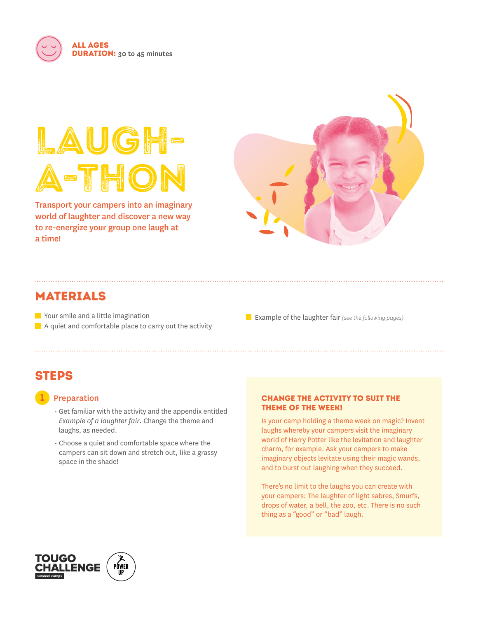

# LAUGH-A-THOI

Transport your campers into an imaginary world of laughter and discover a new way to re-energize your group one laugh at a time!



# MATERIALS

Your smile and a little imagination  $\blacksquare$  A quiet and comfortable place to carry out the activity

Example of the laughter fair *(see the following pages)*

# **STEPS**

## 1Preparation

- Get familiar with the activity and the appendix entitled *Example of a laughter fair*. Change the theme and laughs, as needed.
- Choose a quiet and comfortable space where the campers can sit down and stretch out, like a grassy space in the shade!

#### Change the activity to suit the theme of the week!

Is your camp holding a theme week on magic? Invent laughs whereby your campers visit the imaginary world of Harry Potter like the levitation and laughter charm, for example. Ask your campers to make imaginary objects levitate using their magic wands, and to burst out laughing when they succeed.

There's no limit to the laughs you can create with your campers: The laughter of light sabres, Smurfs, drops of water, a bell, the zoo, etc. There is no such thing as a "good" or "bad" laugh.

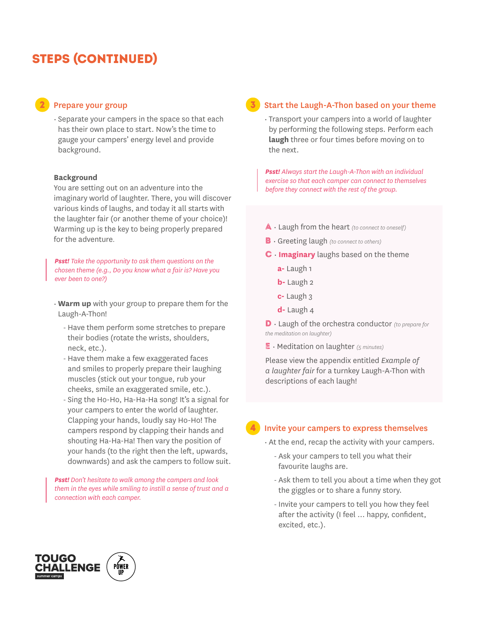# steps (continued)

## 2Prepare your group

• Separate your campers in the space so that each has their own place to start. Now's the time to gauge your campers' energy level and provide background.

#### **Background**

You are setting out on an adventure into the imaginary world of laughter. There, you will discover various kinds of laughs, and today it all starts with the laughter fair (or another theme of your choice)! Warming up is the key to being properly prepared for the adventure.

*Psst! Take the opportunity to ask them questions on the chosen theme (e.g., Do you know what a fair is? Have you ever been to one?)* 

- **Warm up** with your group to prepare them for the Laugh-A-Thon!
	- Have them perform some stretches to prepare their bodies (rotate the wrists, shoulders, neck, etc.).
	- Have them make a few exaggerated faces and smiles to properly prepare their laughing muscles (stick out your tongue, rub your cheeks, smile an exaggerated smile, etc.).
	- Sing the Ho-Ho, Ha-Ha-Ha song! It's a signal for your campers to enter the world of laughter. Clapping your hands, loudly say Ho-Ho! The campers respond by clapping their hands and shouting Ha-Ha-Ha! Then vary the position of your hands (to the right then the left, upwards, downwards) and ask the campers to follow suit.

*Psst! Don't hesitate to walk among the campers and look them in the eyes while smiling to instill a sense of trust and a connection with each camper.*

#### 3Start the Laugh-A-Thon based on your theme

• Transport your campers into a world of laughter by performing the following steps. Perform each **laugh** three or four times before moving on to the next.

*Psst! Always start the Laugh-A-Thon with an individual exercise so that each camper can connect to themselves before they connect with the rest of the group.* 

- A Laugh from the heart *(to connect to oneself)*
- B Greeting laugh *(to connect to others)*

#### C • **Imaginary** laughs based on the theme

- **a-** Laugh 1
- **b-** Laugh 2
- **c-** Laugh 3
- **d-** Laugh 4

D • Laugh of the orchestra conductor *(to prepare for the meditation on laughter)* 

e • Meditation on laughter *(5 minutes)*

Please view the appendix entitled *Example of a laughter fair* for a turnkey Laugh-A-Thon with descriptions of each laugh!

#### 4Invite your campers to express themselves

- At the end, recap the activity with your campers.
	- Ask your campers to tell you what their favourite laughs are.
	- Ask them to tell you about a time when they got the giggles or to share a funny story.
	- Invite your campers to tell you how they feel after the activity (I feel … happy, confident, excited, etc.).

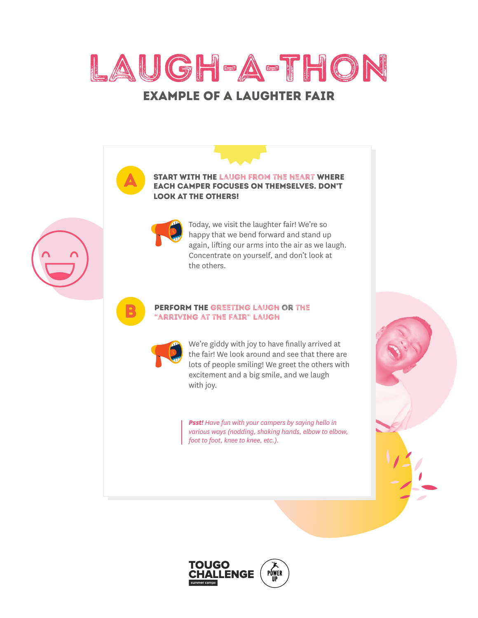

# Example of a laughter fair

Start with the laugh from the heart where each camper focuses on themselves. Don't

A

B



look at the others!

Today, we visit the laughter fair! We're so happy that we bend forward and stand up again, lifting our arms into the air as we laugh. Concentrate on yourself, and don't look at the others.

#### Perform the greeting laugh or the "arriving at the fair" laugh



We're giddy with joy to have finally arrived at the fair! We look around and see that there are lots of people smiling! We greet the others with excitement and a big smile, and we laugh with joy.

*Psst! Have fun with your campers by saying hello in various ways (nodding, shaking hands, elbow to elbow, foot to foot, knee to knee, etc.).*



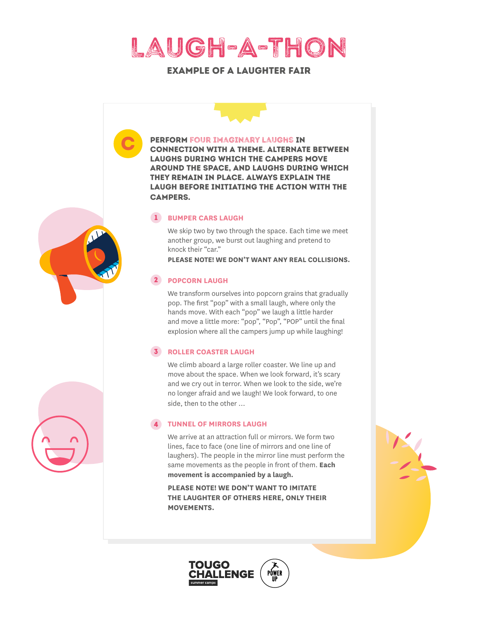

## Example of a laughter fair



**MOVEMENTS.**

TOUGO

**LLENGE** 

PÓWER